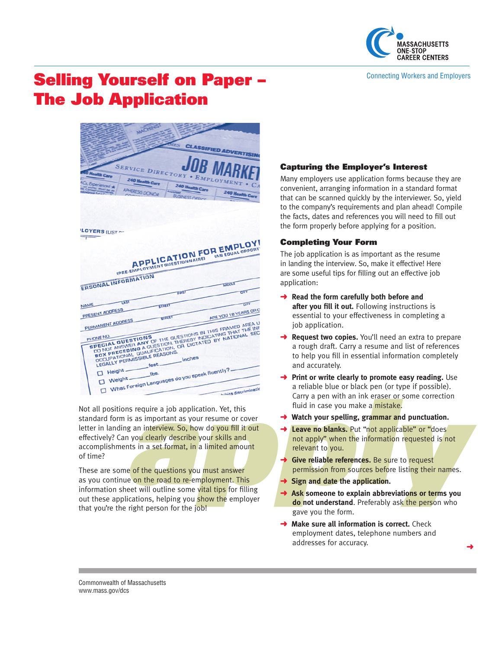

#### Connecting Workers and Employers

# Selling Yourself on Paper – The Job Application

|                                  | <b>ES</b>                                     | <b>CLASSIFIED ADVERTISIN</b>                                                                                                                                                                                                   |
|----------------------------------|-----------------------------------------------|--------------------------------------------------------------------------------------------------------------------------------------------------------------------------------------------------------------------------------|
|                                  | <b>SERVICE DIRECTORY . EMPLOYMENT</b>         | <b>JOB MARK</b>                                                                                                                                                                                                                |
|                                  |                                               |                                                                                                                                                                                                                                |
| Experienced *<br>APHERESIS DONOR | <b>240 Health Care</b>                        | 240 Health Care                                                                                                                                                                                                                |
|                                  | <b>IS NESS OFF</b>                            |                                                                                                                                                                                                                                |
|                                  |                                               |                                                                                                                                                                                                                                |
|                                  |                                               |                                                                                                                                                                                                                                |
|                                  |                                               |                                                                                                                                                                                                                                |
| LOYERS ILIST                     |                                               |                                                                                                                                                                                                                                |
| $\overline{1}$                   |                                               |                                                                                                                                                                                                                                |
|                                  |                                               |                                                                                                                                                                                                                                |
|                                  |                                               |                                                                                                                                                                                                                                |
|                                  |                                               |                                                                                                                                                                                                                                |
|                                  |                                               |                                                                                                                                                                                                                                |
|                                  | IPRE EMPLOYMENT QUESTIONNAIRE)                | APPLICATION FOR EMPLOY!                                                                                                                                                                                                        |
|                                  |                                               |                                                                                                                                                                                                                                |
| <b>ERSONAL INFORMATION</b>       |                                               | MIDOLE<br>CITY                                                                                                                                                                                                                 |
|                                  | TERST                                         |                                                                                                                                                                                                                                |
| <b>UST</b><br><b>NAME</b>        | <b>SIREET</b>                                 | $\overline{c}$                                                                                                                                                                                                                 |
|                                  |                                               |                                                                                                                                                                                                                                |
| PRESENT ADORESS                  | <b>BIREET</b>                                 | ARE YOU 18 YEARS OR O                                                                                                                                                                                                          |
| PERMANENT ADDRESS<br>PHONE NO.   |                                               |                                                                                                                                                                                                                                |
| <b>SPECIAL QUESTIONS</b>         |                                               | DO NOT ANSWER ANY OF THE QUESTIONS IN THIS FRAMED AREA U                                                                                                                                                                       |
|                                  |                                               | DOCUME TIONAL OF THE WORD INTO THE TRANSPORTED THE INFORMATION OF THE USE WITHOUT THAT THE INFORMATION TO THE INFORMATION TO THE INFORMATION IN THE INFORMATION IN THE INFORMATION IN THE INFORMATION IN THE INFORMATION IN TH |
| LEGALLY PERMISSIBLE REASONS.     |                                               | BUA PREDEDING A WIESTING, INCREDI INDICATING THAT THE INTERNATIONAL SECTION OF DICTATED BY NATIONAL SECTION                                                                                                                    |
|                                  | T Height feet inches                          |                                                                                                                                                                                                                                |
| $\Box$ Weight —                  | What Foreign Languages do you speak fluently? | hibits discriminatio                                                                                                                                                                                                           |

applications require a job application. Yet, this<br>
standard form is as important as your resume or cover<br>
letter in landing an interview. So, how do you fill it out<br>
letter in landing an interview. So, how do you fill it standard form is as important as your resume or cover letter in landing an interview. So, how do you fill it out effectively? Can you clearly describe your skills and accomplishments in a set format, in a limited amount of time?

These are some of the questions you must answer as you continue on the road to re-employment. This information sheet will outline some vital tips for filling out these applications, helping you show the employer that you're the right person for the job!

## Capturing the Employer's Interest

Many employers use application forms because they are convenient, arranging information in a standard format that can be scanned quickly by the interviewer. So, yield to the company's requirements and plan ahead! Compile the facts, dates and references you will need to fill out the form properly before applying for a position.

## Completing Your Form

The job application is as important as the resume in landing the interview. So, make it effective! Here are some useful tips for filling out an effective job application:

- ➜ **Read the form carefully both before and after you fill it out.** Following instructions is essential to your effectiveness in completing a job application.
- **→ Request two copies.** You'll need an extra to prepare a rough draft. Carry a resume and list of references to help you fill in essential information completely and accurately.
- **→** Print or write clearly to promote easy reading. Use a reliable blue or black pen (or type if possible). Carry a pen with an ink eraser or some correction fluid in case you make a mistake.
- **→** Watch your spelling, grammar and punctuation.
- **→ Leave no blanks.** Put "not applicable" or "does not apply" when the information requested is not relevant to you.
- **→ Give reliable references.** Be sure to request permission from sources before listing their names.
- **→ Sign and date the application.**
- ➜ **Ask someone to explain abbreviations or terms you do not understand**. Preferably ask the person who gave you the form.

➜

**→ Make sure all information is correct.** Check employment dates, telephone numbers and addresses for accuracy.

Commonwealth of Massachusetts www.mass.gov/dcs